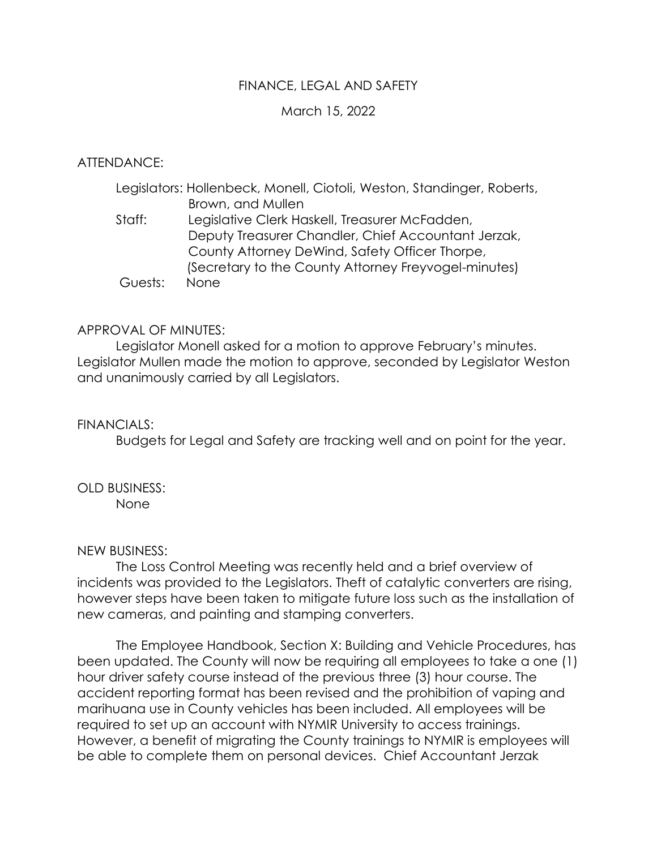# FINANCE, LEGAL AND SAFETY

## March 15, 2022

### ATTENDANCE:

# Legislators: Hollenbeck, Monell, Ciotoli, Weston, Standinger, Roberts, Brown, and Mullen Staff: Legislative Clerk Haskell, Treasurer McFadden, Deputy Treasurer Chandler, Chief Accountant Jerzak, County Attorney DeWind, Safety Officer Thorpe, (Secretary to the County Attorney Freyvogel-minutes) Guests: None

## APPROVAL OF MINUTES:

Legislator Monell asked for a motion to approve February's minutes. Legislator Mullen made the motion to approve, seconded by Legislator Weston and unanimously carried by all Legislators.

#### FINANCIALS:

Budgets for Legal and Safety are tracking well and on point for the year.

OLD BUSINESS: None

#### NEW BUSINESS:

The Loss Control Meeting was recently held and a brief overview of incidents was provided to the Legislators. Theft of catalytic converters are rising, however steps have been taken to mitigate future loss such as the installation of new cameras, and painting and stamping converters.

The Employee Handbook, Section X: Building and Vehicle Procedures, has been updated. The County will now be requiring all employees to take a one (1) hour driver safety course instead of the previous three (3) hour course. The accident reporting format has been revised and the prohibition of vaping and marihuana use in County vehicles has been included. All employees will be required to set up an account with NYMIR University to access trainings. However, a benefit of migrating the County trainings to NYMIR is employees will be able to complete them on personal devices. Chief Accountant Jerzak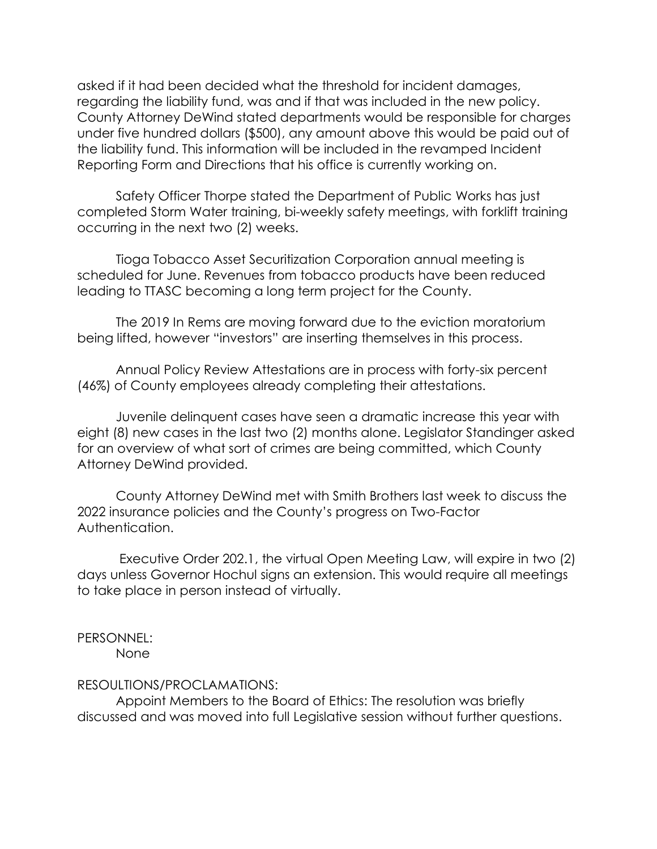asked if it had been decided what the threshold for incident damages, regarding the liability fund, was and if that was included in the new policy. County Attorney DeWind stated departments would be responsible for charges under five hundred dollars (\$500), any amount above this would be paid out of the liability fund. This information will be included in the revamped Incident Reporting Form and Directions that his office is currently working on.

Safety Officer Thorpe stated the Department of Public Works has just completed Storm Water training, bi-weekly safety meetings, with forklift training occurring in the next two (2) weeks.

Tioga Tobacco Asset Securitization Corporation annual meeting is scheduled for June. Revenues from tobacco products have been reduced leading to TTASC becoming a long term project for the County.

The 2019 In Rems are moving forward due to the eviction moratorium being lifted, however "investors" are inserting themselves in this process.

Annual Policy Review Attestations are in process with forty-six percent (46%) of County employees already completing their attestations.

Juvenile delinquent cases have seen a dramatic increase this year with eight (8) new cases in the last two (2) months alone. Legislator Standinger asked for an overview of what sort of crimes are being committed, which County Attorney DeWind provided.

County Attorney DeWind met with Smith Brothers last week to discuss the 2022 insurance policies and the County's progress on Two-Factor Authentication.

Executive Order 202.1, the virtual Open Meeting Law, will expire in two (2) days unless Governor Hochul signs an extension. This would require all meetings to take place in person instead of virtually.

PERSONNEL:

None

## RESOULTIONS/PROCLAMATIONS:

Appoint Members to the Board of Ethics: The resolution was briefly discussed and was moved into full Legislative session without further questions.